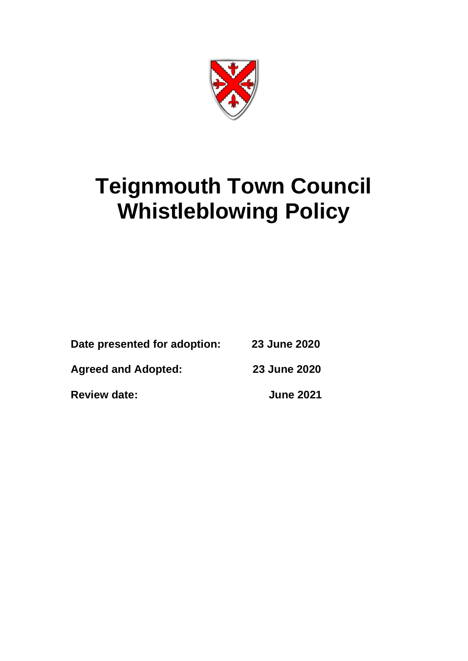

# **Teignmouth Town Council Whistleblowing Policy**

| Date presented for adoption:<br><b>Agreed and Adopted:</b> | 23 June 2020<br>23 June 2020 |
|------------------------------------------------------------|------------------------------|
|                                                            |                              |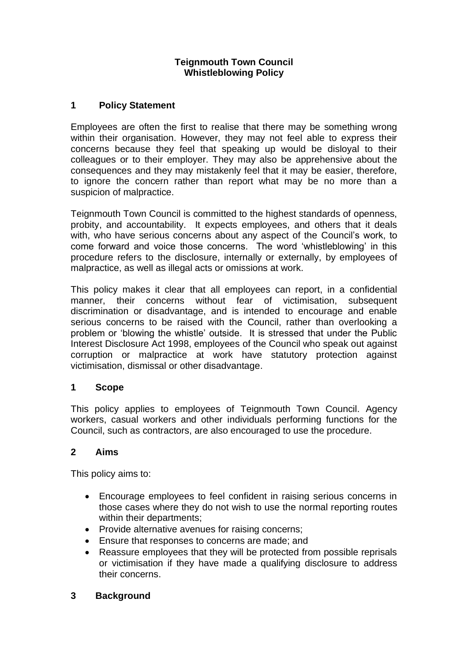#### **Teignmouth Town Council Whistleblowing Policy**

## **1 Policy Statement**

Employees are often the first to realise that there may be something wrong within their organisation. However, they may not feel able to express their concerns because they feel that speaking up would be disloyal to their colleagues or to their employer. They may also be apprehensive about the consequences and they may mistakenly feel that it may be easier, therefore, to ignore the concern rather than report what may be no more than a suspicion of malpractice.

Teignmouth Town Council is committed to the highest standards of openness, probity, and accountability. It expects employees, and others that it deals with, who have serious concerns about any aspect of the Council's work, to come forward and voice those concerns. The word 'whistleblowing' in this procedure refers to the disclosure, internally or externally, by employees of malpractice, as well as illegal acts or omissions at work.

This policy makes it clear that all employees can report, in a confidential manner, their concerns without fear of victimisation, subsequent discrimination or disadvantage, and is intended to encourage and enable serious concerns to be raised with the Council, rather than overlooking a problem or 'blowing the whistle' outside. It is stressed that under the Public Interest Disclosure Act 1998, employees of the Council who speak out against corruption or malpractice at work have statutory protection against victimisation, dismissal or other disadvantage.

#### **1 Scope**

This policy applies to employees of Teignmouth Town Council. Agency workers, casual workers and other individuals performing functions for the Council, such as contractors, are also encouraged to use the procedure.

#### **2 Aims**

This policy aims to:

- Encourage employees to feel confident in raising serious concerns in those cases where they do not wish to use the normal reporting routes within their departments;
- Provide alternative avenues for raising concerns;
- Ensure that responses to concerns are made; and
- Reassure employees that they will be protected from possible reprisals or victimisation if they have made a qualifying disclosure to address their concerns.

#### **3 Background**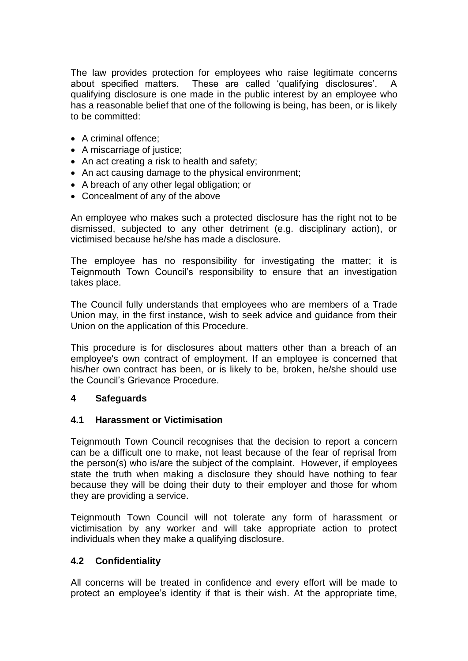The law provides protection for employees who raise legitimate concerns about specified matters. These are called 'qualifying disclosures'. A qualifying disclosure is one made in the public interest by an employee who has a reasonable belief that one of the following is being, has been, or is likely to be committed:

- A criminal offence;
- A miscarriage of justice;
- An act creating a risk to health and safety;
- An act causing damage to the physical environment;
- A breach of any other legal obligation; or
- Concealment of any of the above

An employee who makes such a protected disclosure has the right not to be dismissed, subjected to any other detriment (e.g. disciplinary action), or victimised because he/she has made a disclosure.

The employee has no responsibility for investigating the matter; it is Teignmouth Town Council's responsibility to ensure that an investigation takes place.

The Council fully understands that employees who are members of a Trade Union may, in the first instance, wish to seek advice and guidance from their Union on the application of this Procedure.

This procedure is for disclosures about matters other than a breach of an employee's own contract of employment. If an employee is concerned that his/her own contract has been, or is likely to be, broken, he/she should use the Council's Grievance Procedure.

## **4 Safeguards**

#### **4.1 Harassment or Victimisation**

Teignmouth Town Council recognises that the decision to report a concern can be a difficult one to make, not least because of the fear of reprisal from the person(s) who is/are the subject of the complaint. However, if employees state the truth when making a disclosure they should have nothing to fear because they will be doing their duty to their employer and those for whom they are providing a service.

Teignmouth Town Council will not tolerate any form of harassment or victimisation by any worker and will take appropriate action to protect individuals when they make a qualifying disclosure.

## **4.2 Confidentiality**

All concerns will be treated in confidence and every effort will be made to protect an employee's identity if that is their wish. At the appropriate time,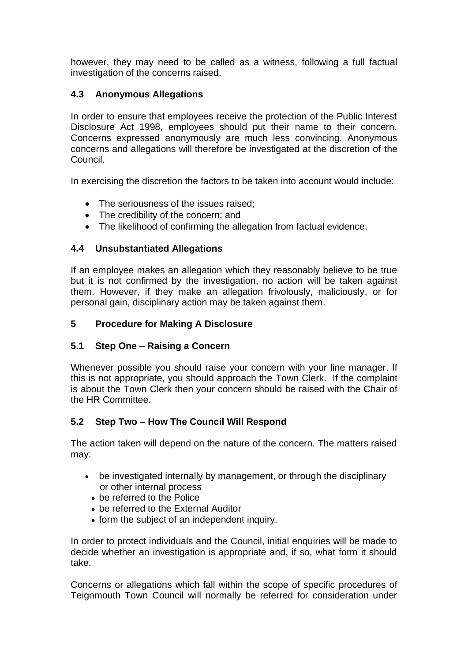however, they may need to be called as a witness, following a full factual investigation of the concerns raised.

## **4.3 Anonymous Allegations**

In order to ensure that employees receive the protection of the Public Interest Disclosure Act 1998, employees should put their name to their concern. Concerns expressed anonymously are much less convincing. Anonymous concerns and allegations will therefore be investigated at the discretion of the Council.

In exercising the discretion the factors to be taken into account would include:

- The seriousness of the issues raised;
- The credibility of the concern; and
- The likelihood of confirming the allegation from factual evidence.

## **4.4 Unsubstantiated Allegations**

If an employee makes an allegation which they reasonably believe to be true but it is not confirmed by the investigation, no action will be taken against them. However, if they make an allegation frivolously, maliciously, or for personal gain, disciplinary action may be taken against them.

# **5 Procedure for Making A Disclosure**

## **5.1 Step One – Raising a Concern**

Whenever possible you should raise your concern with your line manager. If this is not appropriate, you should approach the Town Clerk. If the complaint is about the Town Clerk then your concern should be raised with the Chair of the HR Committee.

## **5.2 Step Two – How The Council Will Respond**

The action taken will depend on the nature of the concern. The matters raised may:

- be investigated internally by management, or through the disciplinary or other internal process
	- be referred to the Police
	- be referred to the External Auditor
	- form the subject of an independent inquiry.

In order to protect individuals and the Council, initial enquiries will be made to decide whether an investigation is appropriate and, if so, what form it should take.

Concerns or allegations which fall within the scope of specific procedures of Teignmouth Town Council will normally be referred for consideration under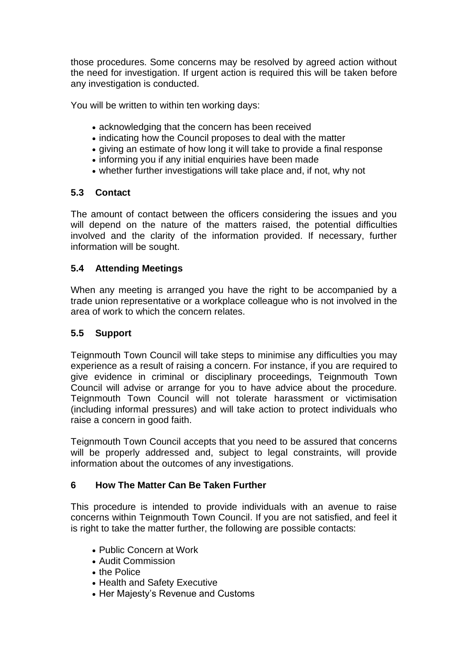those procedures. Some concerns may be resolved by agreed action without the need for investigation. If urgent action is required this will be taken before any investigation is conducted.

You will be written to within ten working days:

- acknowledging that the concern has been received
- indicating how the Council proposes to deal with the matter
- giving an estimate of how long it will take to provide a final response
- informing you if any initial enquiries have been made
- whether further investigations will take place and, if not, why not

#### **5.3 Contact**

The amount of contact between the officers considering the issues and you will depend on the nature of the matters raised, the potential difficulties involved and the clarity of the information provided. If necessary, further information will be sought.

#### **5.4 Attending Meetings**

When any meeting is arranged you have the right to be accompanied by a trade union representative or a workplace colleague who is not involved in the area of work to which the concern relates.

#### **5.5 Support**

Teignmouth Town Council will take steps to minimise any difficulties you may experience as a result of raising a concern. For instance, if you are required to give evidence in criminal or disciplinary proceedings, Teignmouth Town Council will advise or arrange for you to have advice about the procedure. Teignmouth Town Council will not tolerate harassment or victimisation (including informal pressures) and will take action to protect individuals who raise a concern in good faith.

Teignmouth Town Council accepts that you need to be assured that concerns will be properly addressed and, subject to legal constraints, will provide information about the outcomes of any investigations.

## **6 How The Matter Can Be Taken Further**

This procedure is intended to provide individuals with an avenue to raise concerns within Teignmouth Town Council. If you are not satisfied, and feel it is right to take the matter further, the following are possible contacts:

- Public Concern at Work
- Audit Commission
- the Police
- Health and Safety Executive
- Her Majesty's Revenue and Customs